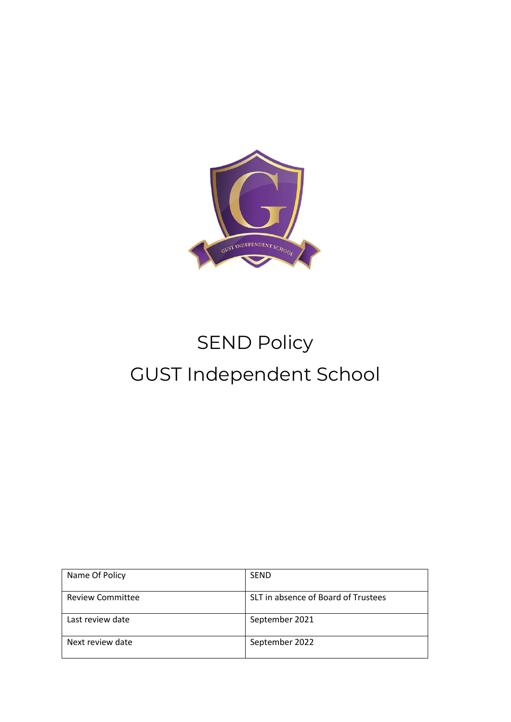

# SEND Policy GUST Independent School

| Name Of Policy          | <b>SEND</b>                         |
|-------------------------|-------------------------------------|
| <b>Review Committee</b> | SLT in absence of Board of Trustees |
| Last review date        | September 2021                      |
| Next review date        | September 2022                      |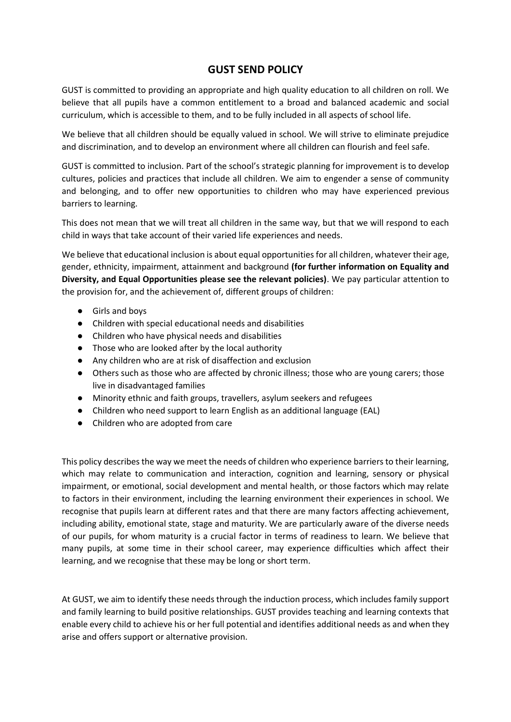# **GUST SEND POLICY**

GUST is committed to providing an appropriate and high quality education to all children on roll. We believe that all pupils have a common entitlement to a broad and balanced academic and social curriculum, which is accessible to them, and to be fully included in all aspects of school life.

We believe that all children should be equally valued in school. We will strive to eliminate prejudice and discrimination, and to develop an environment where all children can flourish and feel safe.

GUST is committed to inclusion. Part of the school's strategic planning for improvement is to develop cultures, policies and practices that include all children. We aim to engender a sense of community and belonging, and to offer new opportunities to children who may have experienced previous barriers to learning.

This does not mean that we will treat all children in the same way, but that we will respond to each child in ways that take account of their varied life experiences and needs.

We believe that educational inclusion is about equal opportunities for all children, whatever their age, gender, ethnicity, impairment, attainment and background **(for further information on Equality and Diversity, and Equal Opportunities please see the relevant policies)**. We pay particular attention to the provision for, and the achievement of, different groups of children:

- Girls and boys
- Children with special educational needs and disabilities
- Children who have physical needs and disabilities
- Those who are looked after by the local authority
- Any children who are at risk of disaffection and exclusion
- Others such as those who are affected by chronic illness; those who are young carers; those live in disadvantaged families
- Minority ethnic and faith groups, travellers, asylum seekers and refugees
- Children who need support to learn English as an additional language (EAL)
- Children who are adopted from care

This policy describes the way we meet the needs of children who experience barriers to their learning, which may relate to communication and interaction, cognition and learning, sensory or physical impairment, or emotional, social development and mental health, or those factors which may relate to factors in their environment, including the learning environment their experiences in school. We recognise that pupils learn at different rates and that there are many factors affecting achievement, including ability, emotional state, stage and maturity. We are particularly aware of the diverse needs of our pupils, for whom maturity is a crucial factor in terms of readiness to learn. We believe that many pupils, at some time in their school career, may experience difficulties which affect their learning, and we recognise that these may be long or short term.

At GUST, we aim to identify these needs through the induction process, which includes family support and family learning to build positive relationships. GUST provides teaching and learning contexts that enable every child to achieve his or her full potential and identifies additional needs as and when they arise and offers support or alternative provision.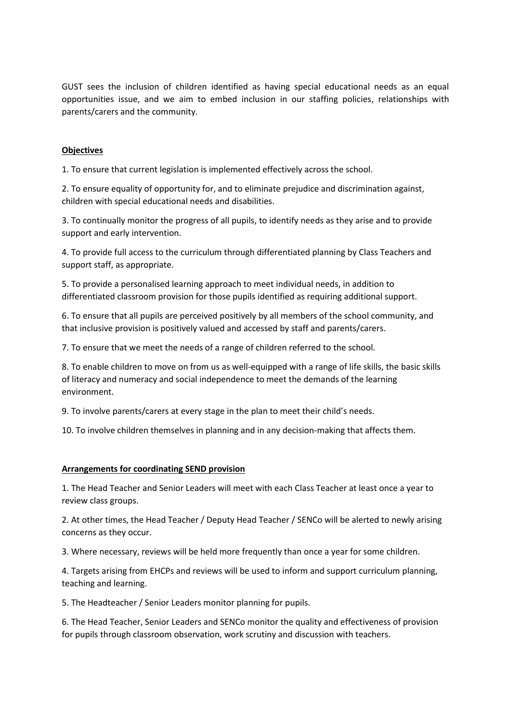GUST sees the inclusion of children identified as having special educational needs as an equal opportunities issue, and we aim to embed inclusion in our staffing policies, relationships with parents/carers and the community.

# **Objectives**

1. To ensure that current legislation is implemented effectively across the school.

2. To ensure equality of opportunity for, and to eliminate prejudice and discrimination against, children with special educational needs and disabilities.

3. To continually monitor the progress of all pupils, to identify needs as they arise and to provide support and early intervention.

4. To provide full access to the curriculum through differentiated planning by Class Teachers and support staff, as appropriate.

5. To provide a personalised learning approach to meet individual needs, in addition to differentiated classroom provision for those pupils identified as requiring additional support.

6. To ensure that all pupils are perceived positively by all members of the school community, and that inclusive provision is positively valued and accessed by staff and parents/carers.

7. To ensure that we meet the needs of a range of children referred to the school.

8. To enable children to move on from us as well-equipped with a range of life skills, the basic skills of literacy and numeracy and social independence to meet the demands of the learning environment.

9. To involve parents/carers at every stage in the plan to meet their child's needs.

10. To involve children themselves in planning and in any decision-making that affects them.

## **Arrangements for coordinating SEND provision**

1. The Head Teacher and Senior Leaders will meet with each Class Teacher at least once a year to review class groups.

2. At other times, the Head Teacher / Deputy Head Teacher / SENCo will be alerted to newly arising concerns as they occur.

3. Where necessary, reviews will be held more frequently than once a year for some children.

4. Targets arising from EHCPs and reviews will be used to inform and support curriculum planning, teaching and learning.

5. The Headteacher / Senior Leaders monitor planning for pupils.

6. The Head Teacher, Senior Leaders and SENCo monitor the quality and effectiveness of provision for pupils through classroom observation, work scrutiny and discussion with teachers.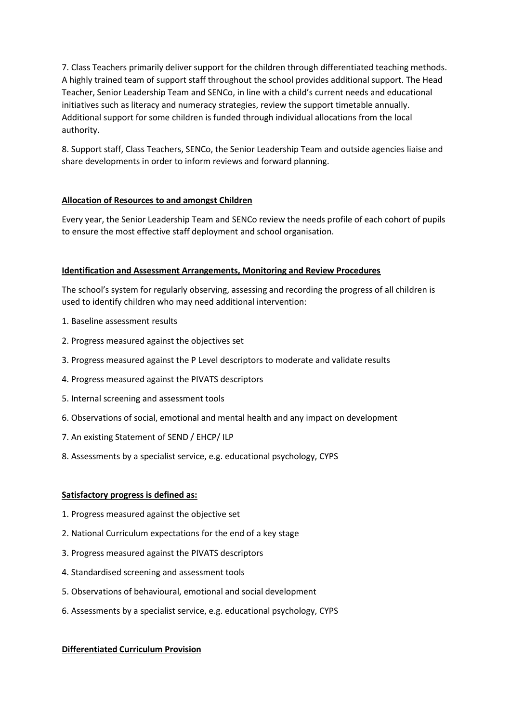7. Class Teachers primarily deliver support for the children through differentiated teaching methods. A highly trained team of support staff throughout the school provides additional support. The Head Teacher, Senior Leadership Team and SENCo, in line with a child's current needs and educational initiatives such as literacy and numeracy strategies, review the support timetable annually. Additional support for some children is funded through individual allocations from the local authority.

8. Support staff, Class Teachers, SENCo, the Senior Leadership Team and outside agencies liaise and share developments in order to inform reviews and forward planning.

# **Allocation of Resources to and amongst Children**

Every year, the Senior Leadership Team and SENCo review the needs profile of each cohort of pupils to ensure the most effective staff deployment and school organisation.

# **Identification and Assessment Arrangements, Monitoring and Review Procedures**

The school's system for regularly observing, assessing and recording the progress of all children is used to identify children who may need additional intervention:

- 1. Baseline assessment results
- 2. Progress measured against the objectives set
- 3. Progress measured against the P Level descriptors to moderate and validate results
- 4. Progress measured against the PIVATS descriptors
- 5. Internal screening and assessment tools
- 6. Observations of social, emotional and mental health and any impact on development
- 7. An existing Statement of SEND / EHCP/ ILP
- 8. Assessments by a specialist service, e.g. educational psychology, CYPS

## **Satisfactory progress is defined as:**

- 1. Progress measured against the objective set
- 2. National Curriculum expectations for the end of a key stage
- 3. Progress measured against the PIVATS descriptors
- 4. Standardised screening and assessment tools
- 5. Observations of behavioural, emotional and social development
- 6. Assessments by a specialist service, e.g. educational psychology, CYPS

## **Differentiated Curriculum Provision**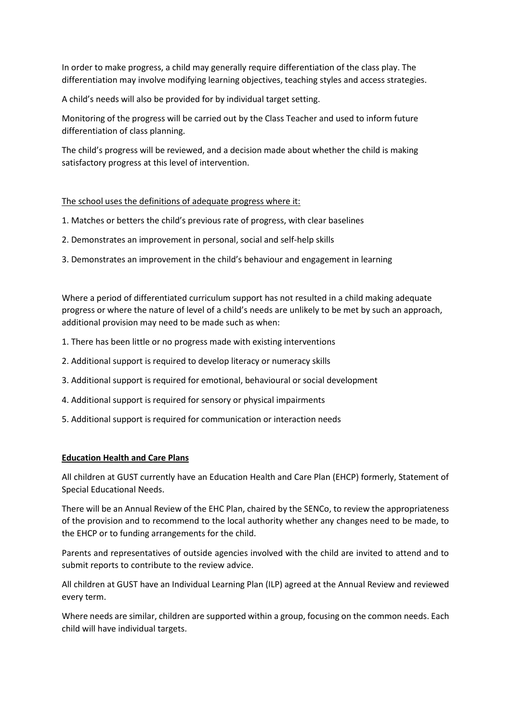In order to make progress, a child may generally require differentiation of the class play. The differentiation may involve modifying learning objectives, teaching styles and access strategies.

A child's needs will also be provided for by individual target setting.

Monitoring of the progress will be carried out by the Class Teacher and used to inform future differentiation of class planning.

The child's progress will be reviewed, and a decision made about whether the child is making satisfactory progress at this level of intervention.

## The school uses the definitions of adequate progress where it:

- 1. Matches or betters the child's previous rate of progress, with clear baselines
- 2. Demonstrates an improvement in personal, social and self-help skills
- 3. Demonstrates an improvement in the child's behaviour and engagement in learning

Where a period of differentiated curriculum support has not resulted in a child making adequate progress or where the nature of level of a child's needs are unlikely to be met by such an approach, additional provision may need to be made such as when:

- 1. There has been little or no progress made with existing interventions
- 2. Additional support is required to develop literacy or numeracy skills
- 3. Additional support is required for emotional, behavioural or social development
- 4. Additional support is required for sensory or physical impairments
- 5. Additional support is required for communication or interaction needs

## **Education Health and Care Plans**

All children at GUST currently have an Education Health and Care Plan (EHCP) formerly, Statement of Special Educational Needs.

There will be an Annual Review of the EHC Plan, chaired by the SENCo, to review the appropriateness of the provision and to recommend to the local authority whether any changes need to be made, to the EHCP or to funding arrangements for the child.

Parents and representatives of outside agencies involved with the child are invited to attend and to submit reports to contribute to the review advice.

All children at GUST have an Individual Learning Plan (ILP) agreed at the Annual Review and reviewed every term.

Where needs are similar, children are supported within a group, focusing on the common needs. Each child will have individual targets.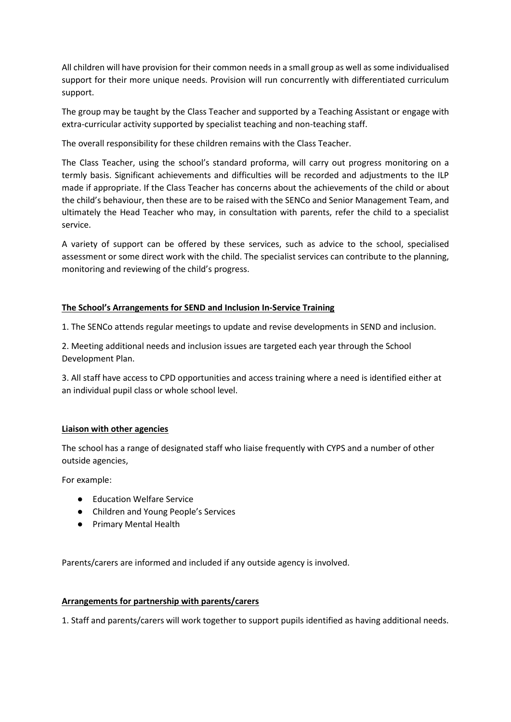All children will have provision for their common needs in a small group as well as some individualised support for their more unique needs. Provision will run concurrently with differentiated curriculum support.

The group may be taught by the Class Teacher and supported by a Teaching Assistant or engage with extra-curricular activity supported by specialist teaching and non-teaching staff.

The overall responsibility for these children remains with the Class Teacher.

The Class Teacher, using the school's standard proforma, will carry out progress monitoring on a termly basis. Significant achievements and difficulties will be recorded and adjustments to the ILP made if appropriate. If the Class Teacher has concerns about the achievements of the child or about the child's behaviour, then these are to be raised with the SENCo and Senior Management Team, and ultimately the Head Teacher who may, in consultation with parents, refer the child to a specialist service.

A variety of support can be offered by these services, such as advice to the school, specialised assessment or some direct work with the child. The specialist services can contribute to the planning, monitoring and reviewing of the child's progress.

# **The School's Arrangements for SEND and Inclusion In-Service Training**

1. The SENCo attends regular meetings to update and revise developments in SEND and inclusion.

2. Meeting additional needs and inclusion issues are targeted each year through the School Development Plan.

3. All staff have access to CPD opportunities and access training where a need is identified either at an individual pupil class or whole school level.

# **Liaison with other agencies**

The school has a range of designated staff who liaise frequently with CYPS and a number of other outside agencies,

For example:

- Education Welfare Service
- Children and Young People's Services
- Primary Mental Health

Parents/carers are informed and included if any outside agency is involved.

## **Arrangements for partnership with parents/carers**

1. Staff and parents/carers will work together to support pupils identified as having additional needs.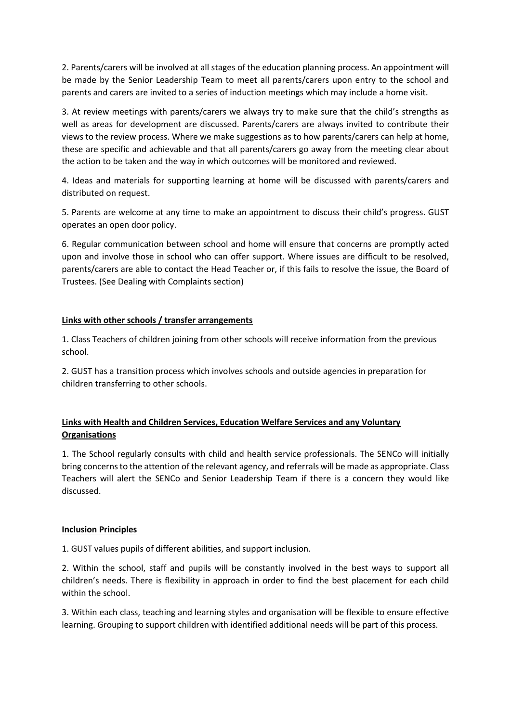2. Parents/carers will be involved at all stages of the education planning process. An appointment will be made by the Senior Leadership Team to meet all parents/carers upon entry to the school and parents and carers are invited to a series of induction meetings which may include a home visit.

3. At review meetings with parents/carers we always try to make sure that the child's strengths as well as areas for development are discussed. Parents/carers are always invited to contribute their views to the review process. Where we make suggestions as to how parents/carers can help at home, these are specific and achievable and that all parents/carers go away from the meeting clear about the action to be taken and the way in which outcomes will be monitored and reviewed.

4. Ideas and materials for supporting learning at home will be discussed with parents/carers and distributed on request.

5. Parents are welcome at any time to make an appointment to discuss their child's progress. GUST operates an open door policy.

6. Regular communication between school and home will ensure that concerns are promptly acted upon and involve those in school who can offer support. Where issues are difficult to be resolved, parents/carers are able to contact the Head Teacher or, if this fails to resolve the issue, the Board of Trustees. (See Dealing with Complaints section)

# **Links with other schools / transfer arrangements**

1. Class Teachers of children joining from other schools will receive information from the previous school.

2. GUST has a transition process which involves schools and outside agencies in preparation for children transferring to other schools.

# **Links with Health and Children Services, Education Welfare Services and any Voluntary Organisations**

1. The School regularly consults with child and health service professionals. The SENCo will initially bring concerns to the attention of the relevant agency, and referrals will be made as appropriate. Class Teachers will alert the SENCo and Senior Leadership Team if there is a concern they would like discussed.

## **Inclusion Principles**

1. GUST values pupils of different abilities, and support inclusion.

2. Within the school, staff and pupils will be constantly involved in the best ways to support all children's needs. There is flexibility in approach in order to find the best placement for each child within the school.

3. Within each class, teaching and learning styles and organisation will be flexible to ensure effective learning. Grouping to support children with identified additional needs will be part of this process.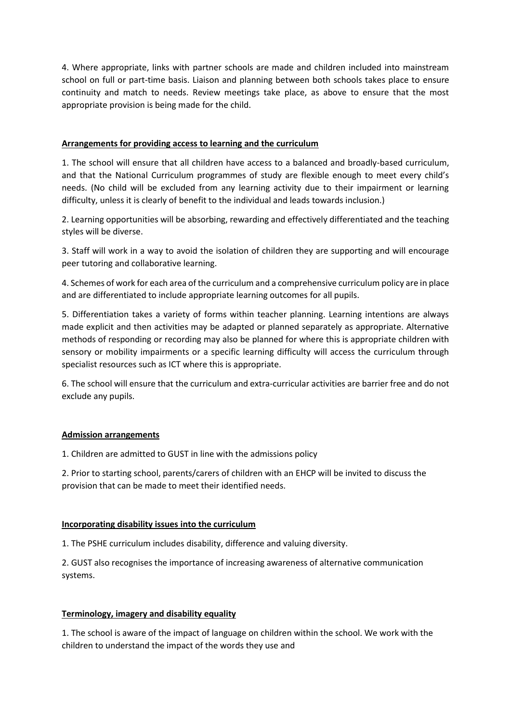4. Where appropriate, links with partner schools are made and children included into mainstream school on full or part-time basis. Liaison and planning between both schools takes place to ensure continuity and match to needs. Review meetings take place, as above to ensure that the most appropriate provision is being made for the child.

# **Arrangements for providing access to learning and the curriculum**

1. The school will ensure that all children have access to a balanced and broadly-based curriculum, and that the National Curriculum programmes of study are flexible enough to meet every child's needs. (No child will be excluded from any learning activity due to their impairment or learning difficulty, unless it is clearly of benefit to the individual and leads towards inclusion.)

2. Learning opportunities will be absorbing, rewarding and effectively differentiated and the teaching styles will be diverse.

3. Staff will work in a way to avoid the isolation of children they are supporting and will encourage peer tutoring and collaborative learning.

4. Schemes of work for each area of the curriculum and a comprehensive curriculum policy are in place and are differentiated to include appropriate learning outcomes for all pupils.

5. Differentiation takes a variety of forms within teacher planning. Learning intentions are always made explicit and then activities may be adapted or planned separately as appropriate. Alternative methods of responding or recording may also be planned for where this is appropriate children with sensory or mobility impairments or a specific learning difficulty will access the curriculum through specialist resources such as ICT where this is appropriate.

6. The school will ensure that the curriculum and extra-curricular activities are barrier free and do not exclude any pupils.

## **Admission arrangements**

1. Children are admitted to GUST in line with the admissions policy

2. Prior to starting school, parents/carers of children with an EHCP will be invited to discuss the provision that can be made to meet their identified needs.

## **Incorporating disability issues into the curriculum**

1. The PSHE curriculum includes disability, difference and valuing diversity.

2. GUST also recognises the importance of increasing awareness of alternative communication systems.

# **Terminology, imagery and disability equality**

1. The school is aware of the impact of language on children within the school. We work with the children to understand the impact of the words they use and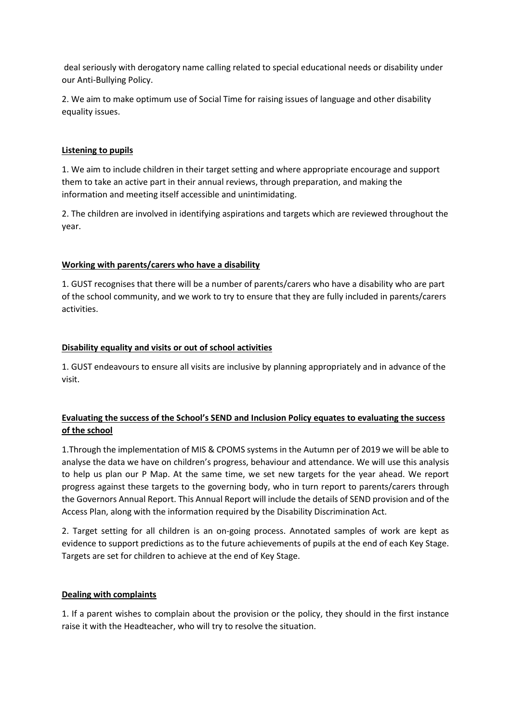deal seriously with derogatory name calling related to special educational needs or disability under our Anti-Bullying Policy.

2. We aim to make optimum use of Social Time for raising issues of language and other disability equality issues.

# **Listening to pupils**

1. We aim to include children in their target setting and where appropriate encourage and support them to take an active part in their annual reviews, through preparation, and making the information and meeting itself accessible and unintimidating.

2. The children are involved in identifying aspirations and targets which are reviewed throughout the year.

# **Working with parents/carers who have a disability**

1. GUST recognises that there will be a number of parents/carers who have a disability who are part of the school community, and we work to try to ensure that they are fully included in parents/carers activities.

# **Disability equality and visits or out of school activities**

1. GUST endeavours to ensure all visits are inclusive by planning appropriately and in advance of the visit.

# **Evaluating the success of the School's SEND and Inclusion Policy equates to evaluating the success of the school**

1.Through the implementation of MIS & CPOMS systems in the Autumn per of 2019 we will be able to analyse the data we have on children's progress, behaviour and attendance. We will use this analysis to help us plan our P Map. At the same time, we set new targets for the year ahead. We report progress against these targets to the governing body, who in turn report to parents/carers through the Governors Annual Report. This Annual Report will include the details of SEND provision and of the Access Plan, along with the information required by the Disability Discrimination Act.

2. Target setting for all children is an on-going process. Annotated samples of work are kept as evidence to support predictions as to the future achievements of pupils at the end of each Key Stage. Targets are set for children to achieve at the end of Key Stage.

## **Dealing with complaints**

1. If a parent wishes to complain about the provision or the policy, they should in the first instance raise it with the Headteacher, who will try to resolve the situation.